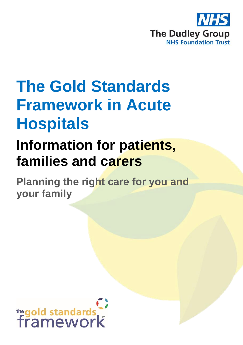

# **The Gold Standards Framework in Acute Hospitals**

## **Information for patients, families and carers**

**Planning the right care for you and your family**

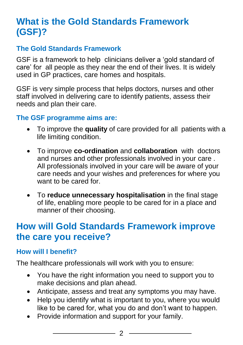## **What is the Gold Standards Framework (GSF)?**

#### **The Gold Standards Framework**

GSF is a framework to help clinicians deliver a 'gold standard of care' for all people as they near the end of their lives. It is widely used in GP practices, care homes and hospitals.

GSF is very simple process that helps doctors, nurses and other staff involved in delivering care to identify patients, assess their needs and plan their care.

#### **The GSF programme aims are:**

- To improve the **quality** of care provided for all patients with a life limiting condition.
- To improve **co-ordination** and **collaboration** with doctors and nurses and other professionals involved in your care . All professionals involved in your care will be aware of your care needs and your wishes and preferences for where you want to be cared for.
- To **reduce unnecessary hospitalisation** in the final stage of life, enabling more people to be cared for in a place and manner of their choosing.

### **How will Gold Standards Framework improve the care you receive?**

#### **How will I benefit?**

The healthcare professionals will work with you to ensure:

- You have the right information you need to support you to make decisions and plan ahead.
- Anticipate, assess and treat any symptoms you may have.
- Help you identify what is important to you, where you would like to be cared for, what you do and don't want to happen.
- Provide information and support for your family.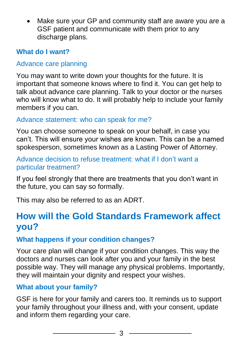• Make sure your GP and community staff are aware you are a GSF patient and communicate with them prior to any discharge plans.

#### **What do I want?**

#### Advance care planning

You may want to write down your thoughts for the future. It is important that someone knows where to find it. You can get help to talk about advance care planning. Talk to your doctor or the nurses who will know what to do. It will probably help to include your family members if you can.

#### Advance statement: who can speak for me?

You can choose someone to speak on your behalf, in case you can't. This will ensure your wishes are known. This can be a named spokesperson, sometimes known as a Lasting Power of Attorney.

#### Advance decision to refuse treatment: what if I don't want a particular treatment?

If you feel strongly that there are treatments that you don't want in the future, you can say so formally.

This may also be referred to as an ADRT.

## **How will the Gold Standards Framework affect you?**

#### **What happens if your condition changes?**

Your care plan will change if your condition changes. This way the doctors and nurses can look after you and your family in the best possible way. They will manage any physical problems. Importantly, they will maintain your dignity and respect your wishes.

#### **What about your family?**

GSF is here for your family and carers too. It reminds us to support your family throughout your illness and, with your consent, update and inform them regarding your care.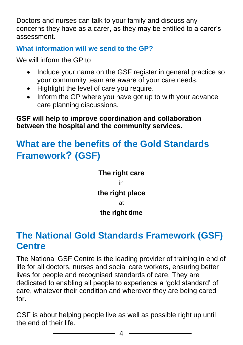Doctors and nurses can talk to your family and discuss any concerns they have as a carer, as they may be entitled to a carer's assessment.

#### **What information will we send to the GP?**

We will inform the GP to

- Include your name on the GSF register in general practice so your community team are aware of your care needs.
- Highlight the level of care you require.
- Inform the GP where you have got up to with your advance care planning discussions.

**GSF will help to improve coordination and collaboration between the hospital and the community services.**

## **What are the benefits of the Gold Standards Framework? (GSF)**

**The right care** in **the right place** at **the right time** 

## **The National Gold Standards Framework (GSF) Centre**

The National GSF Centre is the leading provider of training in end of life for all doctors, nurses and social care workers, ensuring better lives for people and recognised standards of care. They are dedicated to enabling all people to experience a 'gold standard' of care, whatever their condition and wherever they are being cared for.

GSF is about helping people live as well as possible right up until the end of their life.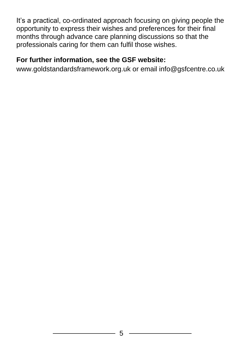It's a practical, co-ordinated approach focusing on giving people the opportunity to express their wishes and preferences for their final months through advance care planning discussions so that the professionals caring for them can fulfil those wishes.

#### **For further information, see the GSF website:**

www.goldstandardsframework.org.uk or email info@gsfcentre.co.uk